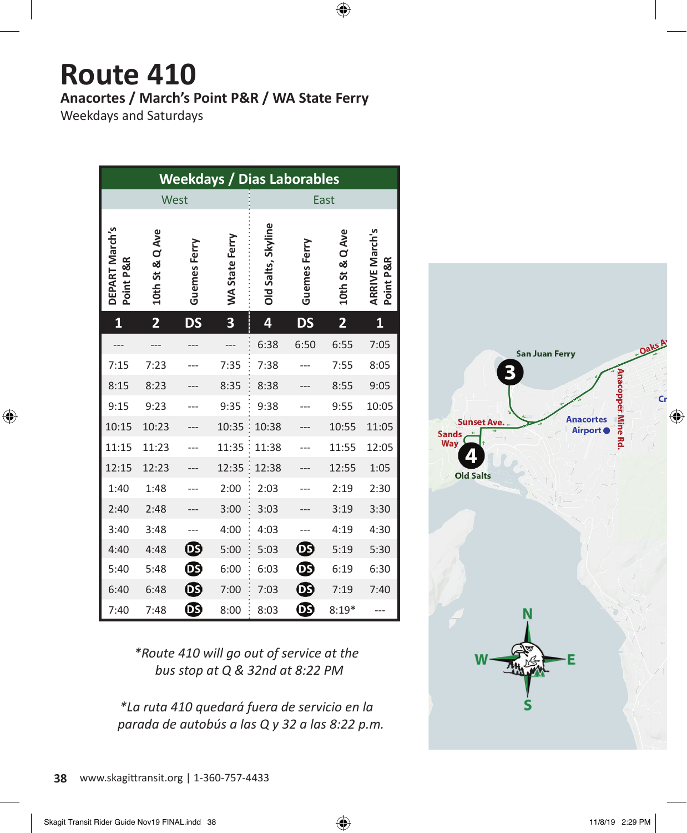## **Route 410 Anacortes / March's Point P&R / WA State Ferry**

 $\bigoplus$ 

Weekdays and Saturdays

 $\bigoplus$ 

| <b>Weekdays / Dias Laborables</b> |                         |              |                       |                    |              |                         |                                    |  |  |  |
|-----------------------------------|-------------------------|--------------|-----------------------|--------------------|--------------|-------------------------|------------------------------------|--|--|--|
| West                              |                         |              |                       | East               |              |                         |                                    |  |  |  |
| DEPART March's<br>Point P&R       | 10th St & Q Ave         | Guemes Ferry | <b>WA State Ferry</b> | Old Salts, Skyline | Guemes Ferry | 10th St & Q Ave         | <b>ARRIVE March's</b><br>Point P&R |  |  |  |
| $\mathbf{1}$                      | $\overline{\mathbf{2}}$ | <b>DS</b>    | 3                     | 4                  | DS           | $\overline{\mathbf{2}}$ | 1                                  |  |  |  |
|                                   |                         |              |                       | 6:38               | 6:50         | 6:55                    | 7:05                               |  |  |  |
| 7:15                              | 7:23                    |              | 7:35                  | 7:38               |              | 7:55                    | 8:05                               |  |  |  |
| 8:15                              | 8:23                    |              | 8:35                  | 8:38               |              | 8:55                    | 9:05                               |  |  |  |
| 9:15                              | 9:23                    |              | 9:35                  | 9:38               |              | 9:55                    | 10:05                              |  |  |  |
| 10:15                             | 10:23                   |              | 10:35                 | 10:38              |              | 10:55                   | 11:05                              |  |  |  |
| 11:15                             | 11:23                   |              | 11:35                 | 11:38              |              | 11:55                   | 12:05                              |  |  |  |
| 12:15                             | 12:23                   |              | 12:35                 | 12:38              |              | 12:55                   | 1:05                               |  |  |  |
| 1:40                              | 1:48                    |              | 2:00                  | 2:03               |              | 2:19                    | 2:30                               |  |  |  |
| 2:40                              | 2:48                    |              | 3:00                  | 3:03               |              | 3:19                    | 3:30                               |  |  |  |
| 3:40                              | 3:48                    |              | 4:00                  | 4:03               |              | 4:19                    | 4:30                               |  |  |  |
| 4:40                              | 4:48                    | ®            | 5:00                  | 5:03               | ®            | 5:19                    | 5:30                               |  |  |  |
| 5:40                              | 5:48                    |              | 6:00                  | 6:03               | ®            | 6:19                    | 6:30                               |  |  |  |
| 6:40                              | 6:48                    | ❻            | 7:00                  | 7:03               |              | 7:19                    | 7:40                               |  |  |  |
| 7:40                              | 7:48                    | ❻            | 8:00                  | 8:03               | ®            | $8:19*$                 |                                    |  |  |  |

*\*Route 410 will go out of service at the bus stop at Q & 32nd at 8:22 PM*

*\*La ruta 410 quedará fuera de servicio en la parada de autobús a las Q y 32 a las 8:22 p.m.*